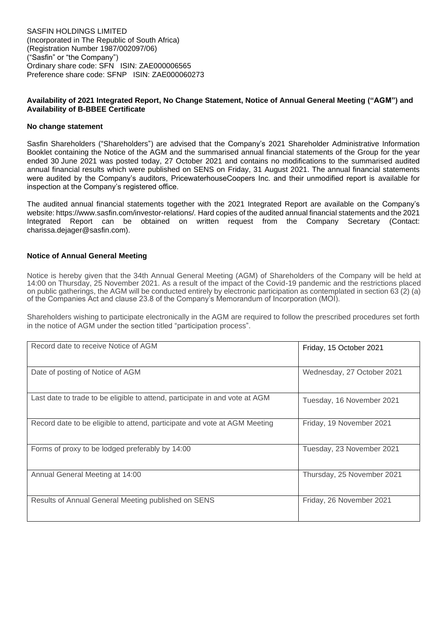# **Availability of 2021 Integrated Report, No Change Statement, Notice of Annual General Meeting ("AGM") and Availability of B-BBEE Certificate**

### **No change statement**

Sasfin Shareholders ("Shareholders") are advised that the Company's 2021 Shareholder Administrative Information Booklet containing the Notice of the AGM and the summarised annual financial statements of the Group for the year ended 30 June 2021 was posted today, 27 October 2021 and contains no modifications to the summarised audited annual financial results which were published on SENS on Friday, 31 August 2021. The annual financial statements were audited by the Company's auditors, PricewaterhouseCoopers Inc. and their unmodified report is available for inspection at the Company's registered office.

The audited annual financial statements together with the 2021 Integrated Report are available on the Company's website: https://www.sasfin.com/investor-relations/*.* Hard copies of the audited annual financial statements and the 2021 Integrated Report can be obtained on written request from the Company Secretary (Contact: charissa.dejager@sasfin.com).

### **Notice of Annual General Meeting**

Notice is hereby given that the 34th Annual General Meeting (AGM) of Shareholders of the Company will be held at 14:00 on Thursday, 25 November 2021. As a result of the impact of the Covid-19 pandemic and the restrictions placed on public gatherings, the AGM will be conducted entirely by electronic participation as contemplated in section 63<sup>'</sup>(2) (a) of the Companies Act and clause 23.8 of the Company's Memorandum of Incorporation (MOI).

Shareholders wishing to participate electronically in the AGM are required to follow the prescribed procedures set forth in the notice of AGM under the section titled "participation process".

| Record date to receive Notice of AGM                                        | Friday, 15 October 2021    |
|-----------------------------------------------------------------------------|----------------------------|
| Date of posting of Notice of AGM                                            | Wednesday, 27 October 2021 |
| Last date to trade to be eligible to attend, participate in and vote at AGM | Tuesday, 16 November 2021  |
| Record date to be eligible to attend, participate and vote at AGM Meeting   | Friday, 19 November 2021   |
| Forms of proxy to be lodged preferably by 14:00                             | Tuesday, 23 November 2021  |
| Annual General Meeting at 14:00                                             | Thursday, 25 November 2021 |
| Results of Annual General Meeting published on SENS                         | Friday, 26 November 2021   |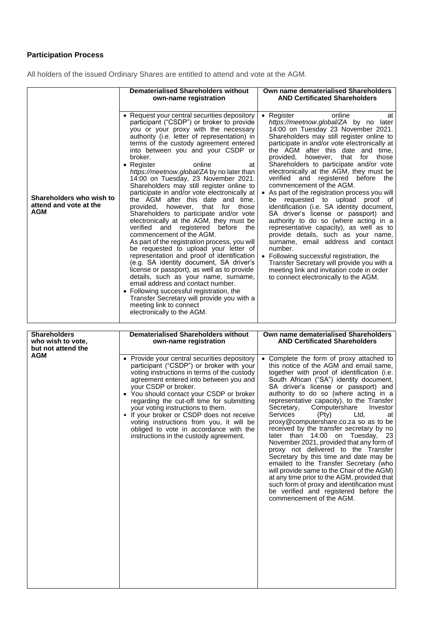# **Participation Process**

All holders of the issued Ordinary Shares are entitled to attend and vote at the AGM.

|                                                                  | <b>Dematerialised Shareholders without</b><br>own-name registration                                                                                                                                                                                                                                                                                                                                                                                                                                                                                                                                                                                                                                                                                                                                                                                                                                                                                                                                                                                                                                                                                                                                               | Own name dematerialised Shareholders<br><b>AND Certificated Shareholders</b>                                                                                                                                                                                                                                                                                                                                                                                                                                                                                                                                                                                                                                                                                                                                                                                                                                                                                                                       |
|------------------------------------------------------------------|-------------------------------------------------------------------------------------------------------------------------------------------------------------------------------------------------------------------------------------------------------------------------------------------------------------------------------------------------------------------------------------------------------------------------------------------------------------------------------------------------------------------------------------------------------------------------------------------------------------------------------------------------------------------------------------------------------------------------------------------------------------------------------------------------------------------------------------------------------------------------------------------------------------------------------------------------------------------------------------------------------------------------------------------------------------------------------------------------------------------------------------------------------------------------------------------------------------------|----------------------------------------------------------------------------------------------------------------------------------------------------------------------------------------------------------------------------------------------------------------------------------------------------------------------------------------------------------------------------------------------------------------------------------------------------------------------------------------------------------------------------------------------------------------------------------------------------------------------------------------------------------------------------------------------------------------------------------------------------------------------------------------------------------------------------------------------------------------------------------------------------------------------------------------------------------------------------------------------------|
| Shareholders who wish to<br>attend and vote at the<br><b>AGM</b> | • Request your central securities depository<br>participant ("CSDP") or broker to provide<br>you or your proxy with the necessary<br>authority (i.e. letter of representation) in<br>terms of the custody agreement entered<br>into between you and your CSDP or<br>broker.<br>online<br>• Register<br>at<br>https://meetnow.global/ZA by no later than<br>14:00 on Tuesday, 23 November 2021.<br>Shareholders may still register online to<br>participate in and/or vote electronically at<br>the AGM after this date<br>and time.<br>that<br>provided.<br>however.<br>for<br>those<br>Shareholders to participate and/or vote<br>electronically at the AGM, they must be<br>verified and registered before<br>the<br>commencement of the AGM.<br>As part of the registration process, you will<br>be requested to upload your letter of<br>representation and proof of identification<br>(e.g. SA identity document, SA driver's<br>license or passport), as well as to provide<br>details, such as your name, surname,<br>email address and contact number.<br>• Following successful registration, the<br>Transfer Secretary will provide you with a<br>meeting link to connect<br>electronically to the AGM. | online<br>• Register<br>at<br>https://meetnow.global/ZA by no<br>later<br>14:00 on Tuesday 23 November 2021.<br>Shareholders may still register online to<br>participate in and/or vote electronically at<br>the AGM after this date and time,<br>that<br>for<br>those<br>provided.<br>however.<br>Shareholders to participate and/or vote<br>electronically at the AGM, they must be<br>verified and registered before<br>the<br>commencement of the AGM.<br>As part of the registration process you will<br>be requested to upload<br>proof of<br>identification (i.e. SA identity document,<br>SA driver's license or passport) and<br>authority to do so (where acting in a<br>representative capacity), as well as to<br>provide details, such as your name,<br>surname, email address and contact<br>number.<br>• Following successful registration, the<br>Transfer Secretary will provide you with a<br>meeting link and invitation code in order<br>to connect electronically to the AGM. |

| <b>Shareholders</b><br>who wish to vote,<br>but not attend the | <b>Dematerialised Shareholders without</b><br>own-name registration                                                                                                                                                                                                                                                                                                                                                                                                                                                | Own name dematerialised Shareholders<br><b>AND Certificated Shareholders</b>                                                                                                                                                                                                                                                                                                                                                                                                                                                                                                                                                                                                                                                                                                                                                                                                                          |
|----------------------------------------------------------------|--------------------------------------------------------------------------------------------------------------------------------------------------------------------------------------------------------------------------------------------------------------------------------------------------------------------------------------------------------------------------------------------------------------------------------------------------------------------------------------------------------------------|-------------------------------------------------------------------------------------------------------------------------------------------------------------------------------------------------------------------------------------------------------------------------------------------------------------------------------------------------------------------------------------------------------------------------------------------------------------------------------------------------------------------------------------------------------------------------------------------------------------------------------------------------------------------------------------------------------------------------------------------------------------------------------------------------------------------------------------------------------------------------------------------------------|
| AGM                                                            | • Provide your central securities depository<br>participant ("CSDP") or broker with your<br>voting instructions in terms of the custody<br>agreement entered into between you and<br>your CSDP or broker.<br>• You should contact your CSDP or broker<br>regarding the cut-off time for submitting<br>your voting instructions to them.<br>If your broker or CSDP does not receive<br>voting instructions from you, it will be<br>obliged to vote in accordance with the<br>instructions in the custody agreement. | Complete the form of proxy attached to<br>this notice of the AGM and email same,<br>together with proof of identification (i.e.<br>South African ("SA") identity document,<br>SA driver's license or passport) and<br>authority to do so (where acting in a<br>representative capacity), to the Transfer<br>Computershare<br>Secretary,<br>Investor<br>Services<br>(Pty)<br>Ltd,<br>at<br>proxy@computershare.co.za so as to be<br>received by the transfer secretary by no<br>later than 14:00 on Tuesday, 23<br>November 2021, provided that any form of<br>proxy not delivered to the Transfer<br>Secretary by this time and date may be<br>emailed to the Transfer Secretary (who<br>will provide same to the Chair of the AGM)<br>at any time prior to the AGM, provided that<br>such form of proxy and identification must<br>be verified and registered before the<br>commencement of the AGM. |